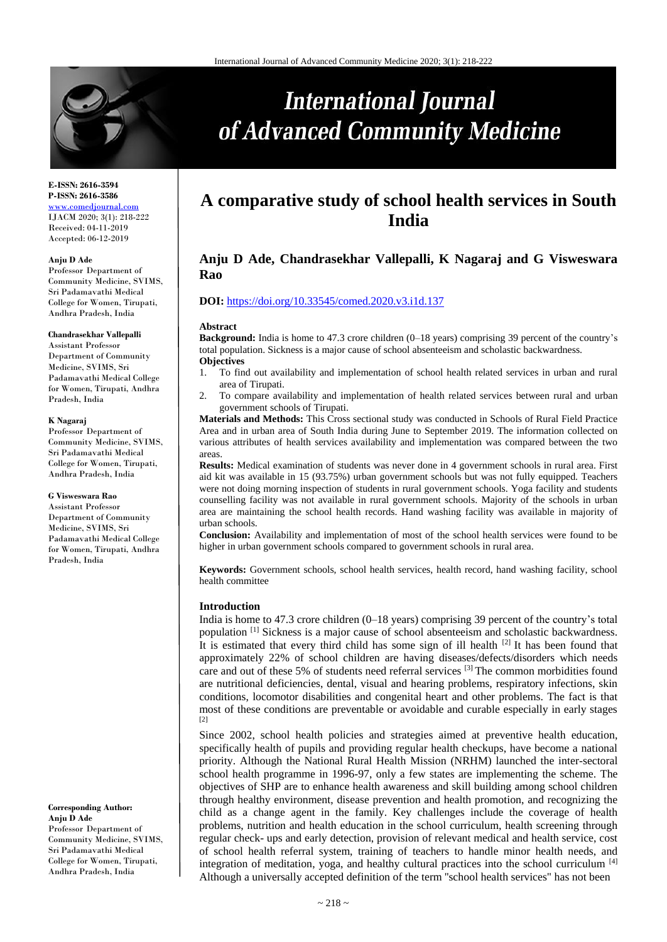

#### **E-ISSN: 2616-3594 P-ISSN: 2616-3586** <www.comedjournal.com> IJACM 2020; 3(1): 218-222 Received: 04-11-2019

Accepted: 06-12-2019

#### **Anju D Ade**

Professor Department of Community Medicine, SVIMS, Sri Padamavathi Medical College for Women, Tirupati, Andhra Pradesh, India

#### **Chandrasekhar Vallepalli**

Assistant Professor Department of Community Medicine, SVIMS, Sri Padamavathi Medical College for Women, Tirupati, Andhra Pradesh, India

#### **K Nagaraj**

Professor Department of Community Medicine, SVIMS, Sri Padamavathi Medical College for Women, Tirupati, Andhra Pradesh, India

#### **G Visweswara Rao**

Assistant Professor Department of Community Medicine, SVIMS, Sri Padamavathi Medical College for Women, Tirupati, Andhra Pradesh, India

**Corresponding Author: Anju D Ade** Professor Department of Community Medicine, SVIMS, Sri Padamavathi Medical College for Women, Tirupati, Andhra Pradesh, India

# **A comparative study of school health services in South India**

**International Journal** 

of Advanced Community Medicine

# **Anju D Ade, Chandrasekhar Vallepalli, K Nagaraj and G Visweswara Rao**

# **DOI:** <https://doi.org/10.33545/comed.2020.v3.i1d.137>

#### **Abstract**

**Background:** India is home to 47.3 crore children (0–18 years) comprising 39 percent of the country's total population. Sickness is a major cause of school absenteeism and scholastic backwardness. **Objectives**

- 1. To find out availability and implementation of school health related services in urban and rural area of Tirupati.
- 2. To compare availability and implementation of health related services between rural and urban government schools of Tirupati.

**Materials and Methods:** This Cross sectional study was conducted in Schools of Rural Field Practice Area and in urban area of South India during June to September 2019. The information collected on various attributes of health services availability and implementation was compared between the two areas.

**Results:** Medical examination of students was never done in 4 government schools in rural area. First aid kit was available in 15 (93.75%) urban government schools but was not fully equipped. Teachers were not doing morning inspection of students in rural government schools. Yoga facility and students counselling facility was not available in rural government schools. Majority of the schools in urban area are maintaining the school health records. Hand washing facility was available in majority of urban schools.

**Conclusion:** Availability and implementation of most of the school health services were found to be higher in urban government schools compared to government schools in rural area.

**Keywords:** Government schools, school health services, health record, hand washing facility, school health committee

#### **Introduction**

India is home to 47.3 crore children (0–18 years) comprising 39 percent of the country's total population [1] Sickness is a major cause of school absenteeism and scholastic backwardness. It is estimated that every third child has some sign of ill health  $[2]$  It has been found that approximately 22% of school children are having diseases/defects/disorders which needs care and out of these 5% of students need referral services [3] The common morbidities found are nutritional deficiencies, dental, visual and hearing problems, respiratory infections, skin conditions, locomotor disabilities and congenital heart and other problems. The fact is that most of these conditions are preventable or avoidable and curable especially in early stages  $[2]$ 

Since 2002, school health policies and strategies aimed at preventive health education, specifically health of pupils and providing regular health checkups, have become a national priority. Although the National Rural Health Mission (NRHM) launched the inter-sectoral school health programme in 1996-97, only a few states are implementing the scheme. The objectives of SHP are to enhance health awareness and skill building among school children through healthy environment, disease prevention and health promotion, and recognizing the child as a change agent in the family. Key challenges include the coverage of health problems, nutrition and health education in the school curriculum, health screening through regular check- ups and early detection, provision of relevant medical and health service, cost of school health referral system, training of teachers to handle minor health needs, and integration of meditation, yoga, and healthy cultural practices into the school curriculum [4] Although a universally accepted definition of the term ''school health services" has not been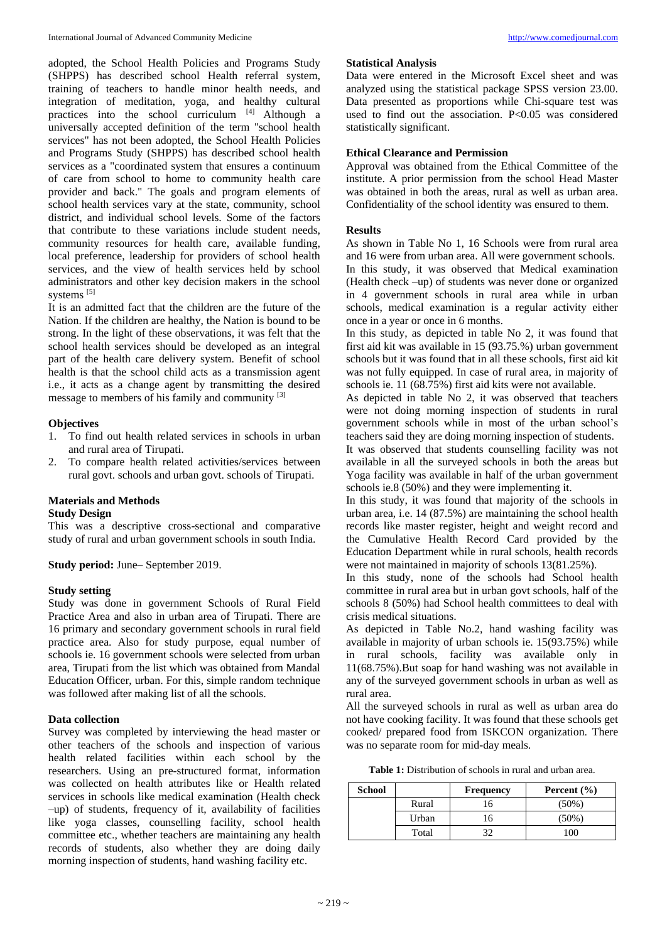adopted, the School Health Policies and Programs Study (SHPPS) has described school Health referral system, training of teachers to handle minor health needs, and integration of meditation, yoga, and healthy cultural practices into the school curriculum [4] Although a universally accepted definition of the term ''school health services" has not been adopted, the School Health Policies and Programs Study (SHPPS) has described school health services as a "coordinated system that ensures a continuum of care from school to home to community health care provider and back." The goals and program elements of school health services vary at the state, community, school district, and individual school levels. Some of the factors that contribute to these variations include student needs, community resources for health care, available funding, local preference, leadership for providers of school health services, and the view of health services held by school administrators and other key decision makers in the school systems [5]

It is an admitted fact that the children are the future of the Nation. If the children are healthy, the Nation is bound to be strong. In the light of these observations, it was felt that the school health services should be developed as an integral part of the health care delivery system. Benefit of school health is that the school child acts as a transmission agent i.e., it acts as a change agent by transmitting the desired message to members of his family and community [3]

## **Objectives**

- 1. To find out health related services in schools in urban and rural area of Tirupati.
- 2. To compare health related activities/services between rural govt. schools and urban govt. schools of Tirupati.

# **Materials and Methods**

#### **Study Design**

This was a descriptive cross-sectional and comparative study of rural and urban government schools in south India.

**Study period:** June– September 2019.

#### **Study setting**

Study was done in government Schools of Rural Field Practice Area and also in urban area of Tirupati. There are 16 primary and secondary government schools in rural field practice area. Also for study purpose, equal number of schools ie. 16 government schools were selected from urban area, Tirupati from the list which was obtained from Mandal Education Officer, urban. For this, simple random technique was followed after making list of all the schools.

#### **Data collection**

Survey was completed by interviewing the head master or other teachers of the schools and inspection of various health related facilities within each school by the researchers. Using an pre-structured format, information was collected on health attributes like or Health related services in schools like medical examination (Health check –up) of students, frequency of it, availability of facilities like yoga classes, counselling facility, school health committee etc., whether teachers are maintaining any health records of students, also whether they are doing daily morning inspection of students, hand washing facility etc.

#### **Statistical Analysis**

Data were entered in the Microsoft Excel sheet and was analyzed using the statistical package SPSS version 23.00. Data presented as proportions while Chi-square test was used to find out the association. P<0.05 was considered statistically significant.

#### **Ethical Clearance and Permission**

Approval was obtained from the Ethical Committee of the institute. A prior permission from the school Head Master was obtained in both the areas, rural as well as urban area. Confidentiality of the school identity was ensured to them.

#### **Results**

As shown in Table No 1, 16 Schools were from rural area and 16 were from urban area. All were government schools. In this study, it was observed that Medical examination (Health check –up) of students was never done or organized in 4 government schools in rural area while in urban schools, medical examination is a regular activity either once in a year or once in 6 months.

In this study, as depicted in table No 2, it was found that first aid kit was available in 15 (93.75.%) urban government schools but it was found that in all these schools, first aid kit was not fully equipped. In case of rural area, in majority of schools ie. 11 (68.75%) first aid kits were not available.

As depicted in table No 2, it was observed that teachers were not doing morning inspection of students in rural government schools while in most of the urban school's teachers said they are doing morning inspection of students.

It was observed that students counselling facility was not available in all the surveyed schools in both the areas but Yoga facility was available in half of the urban government schools ie.8 (50%) and they were implementing it.

In this study, it was found that majority of the schools in urban area, i.e. 14 (87.5%) are maintaining the school health records like master register, height and weight record and the Cumulative Health Record Card provided by the Education Department while in rural schools, health records were not maintained in majority of schools 13(81.25%).

In this study, none of the schools had School health committee in rural area but in urban govt schools, half of the schools 8 (50%) had School health committees to deal with crisis medical situations.

As depicted in Table No.2, hand washing facility was available in majority of urban schools ie. 15(93.75%) while in rural schools, facility was available only in 11(68.75%).But soap for hand washing was not available in any of the surveyed government schools in urban as well as rural area.

All the surveyed schools in rural as well as urban area do not have cooking facility. It was found that these schools get cooked/ prepared food from ISKCON organization. There was no separate room for mid-day meals.

**Table 1:** Distribution of schools in rural and urban area.

| <b>School</b> |       | <b>Frequency</b> | Percent $(\% )$ |  |
|---------------|-------|------------------|-----------------|--|
|               | Rural | 16               | $(50\%)$        |  |
|               | Urban | 16               | (50%)           |  |
|               | Total | 32               | $00^{\circ}$    |  |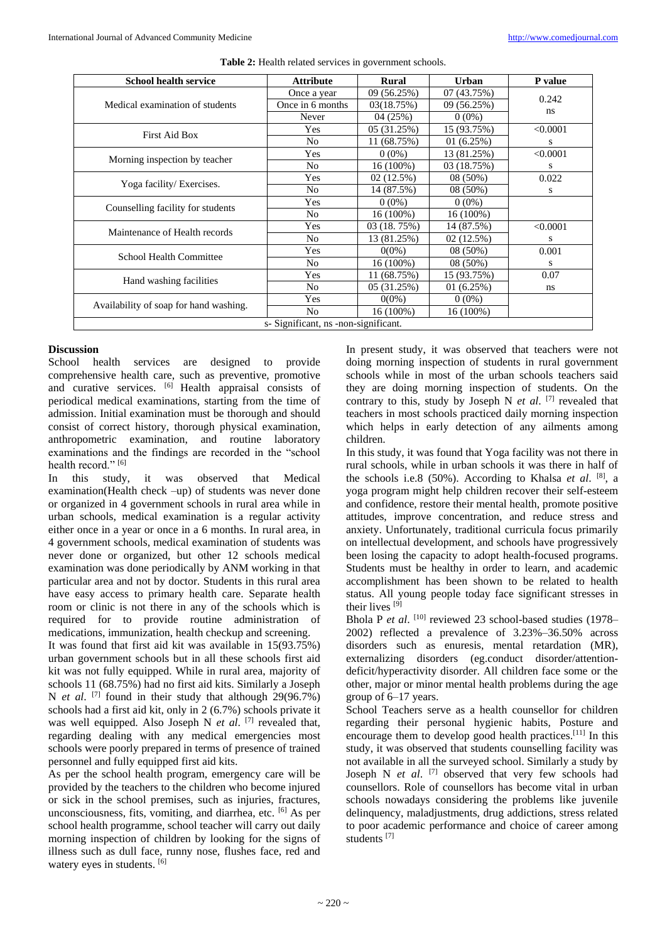| <b>School health service</b>           | <b>Attribute</b> | <b>Rural</b> | Urban       | P value  |  |  |  |
|----------------------------------------|------------------|--------------|-------------|----------|--|--|--|
|                                        | Once a year      | 09 (56.25%)  | 07 (43.75%) |          |  |  |  |
| Medical examination of students        | Once in 6 months | 03(18.75%)   | 09 (56.25%) | 0.242    |  |  |  |
|                                        | Never            | 04(25%)      | $0(0\%)$    | ns       |  |  |  |
| First Aid Box                          | Yes              | 05(31.25%)   | 15 (93.75%) | < 0.0001 |  |  |  |
|                                        | N <sub>0</sub>   | 11 (68.75%)  | 01(6.25%)   | S        |  |  |  |
|                                        | Yes              | $0(0\%)$     | 13 (81.25%) | < 0.0001 |  |  |  |
| Morning inspection by teacher          | N <sub>0</sub>   | $16(100\%)$  | 03 (18.75%) | S        |  |  |  |
|                                        | Yes              | 02(12.5%)    | $08(50\%)$  | 0.022    |  |  |  |
| Yoga facility/ Exercises.              | N <sub>0</sub>   | 14 (87.5%)   | $08(50\%)$  | S        |  |  |  |
| Counselling facility for students      | Yes              | $0(0\%)$     | $0(0\%)$    |          |  |  |  |
|                                        | No               | 16 (100%)    | $16(100\%)$ |          |  |  |  |
| Maintenance of Health records          | Yes              | 03 (18.75%)  | 14 (87.5%)  | < 0.0001 |  |  |  |
|                                        | N <sub>0</sub>   | 13 (81.25%)  | 02(12.5%)   | S        |  |  |  |
| School Health Committee                | Yes              | $0(0\%)$     | 08 (50%)    | 0.001    |  |  |  |
|                                        | N <sub>o</sub>   | 16 (100%)    | 08 (50%)    | S        |  |  |  |
| Hand washing facilities                | Yes              | 11 (68.75%)  | 15 (93.75%) | 0.07     |  |  |  |
|                                        | N <sub>0</sub>   | 05(31.25%)   | 01(6.25%)   | ns       |  |  |  |
| Availability of soap for hand washing. | Yes              | $0(0\%)$     | $0(0\%)$    |          |  |  |  |
|                                        | N <sub>o</sub>   | 16 (100%)    | 16 (100%)   |          |  |  |  |
| s- Significant, ns -non-significant.   |                  |              |             |          |  |  |  |

# **Discussion**

School health services are designed to provide comprehensive health care, such as preventive, promotive and curative services. [6] Health appraisal consists of periodical medical examinations, starting from the time of admission. Initial examination must be thorough and should consist of correct history, thorough physical examination, anthropometric examination, and routine laboratory examinations and the findings are recorded in the "school health record."<sup>[6]</sup>

In this study, it was observed that Medical examination(Health check –up) of students was never done or organized in 4 government schools in rural area while in urban schools, medical examination is a regular activity either once in a year or once in a 6 months. In rural area, in 4 government schools, medical examination of students was never done or organized, but other 12 schools medical examination was done periodically by ANM working in that particular area and not by doctor. Students in this rural area have easy access to primary health care. Separate health room or clinic is not there in any of the schools which is required for to provide routine administration of medications, immunization, health checkup and screening.

It was found that first aid kit was available in 15(93.75%) urban government schools but in all these schools first aid kit was not fully equipped. While in rural area, majority of schools 11 (68.75%) had no first aid kits. Similarly a Joseph N *et al*. [7] found in their study that although 29(96.7%) schools had a first aid kit, only in 2 (6.7%) schools private it was well equipped. Also Joseph N *et al*. [7] revealed that, regarding dealing with any medical emergencies most schools were poorly prepared in terms of presence of trained personnel and fully equipped first aid kits.

As per the school health program, emergency care will be provided by the teachers to the children who become injured or sick in the school premises, such as injuries, fractures, unconsciousness, fits, vomiting, and diarrhea, etc. [6] As per school health programme, school teacher will carry out daily morning inspection of children by looking for the signs of illness such as dull face, runny nose, flushes face, red and watery eyes in students. [6]

In present study, it was observed that teachers were not doing morning inspection of students in rural government schools while in most of the urban schools teachers said they are doing morning inspection of students. On the contrary to this, study by Joseph N *et al*. [7] revealed that teachers in most schools practiced daily morning inspection which helps in early detection of any ailments among children.

In this study, it was found that Yoga facility was not there in rural schools, while in urban schools it was there in half of the schools i.e.8 (50%). According to Khalsa *et al*. [8] , a yoga program might help children recover their self-esteem and confidence, restore their mental health, promote positive attitudes, improve concentration, and reduce stress and anxiety. Unfortunately, traditional curricula focus primarily on intellectual development, and schools have progressively been losing the capacity to adopt health-focused programs. Students must be healthy in order to learn, and academic accomplishment has been shown to be related to health status. All young people today face significant stresses in their lives<sup>[9]</sup>

Bhola P et al. <sup>[10]</sup> reviewed 23 school-based studies (1978– 2002) reflected a prevalence of 3.23%–36.50% across disorders such as enuresis, mental retardation (MR), externalizing disorders (eg.conduct disorder/attentiondeficit/hyperactivity disorder. All children face some or the other, major or minor mental health problems during the age group of 6–17 years.

School Teachers serve as a health counsellor for children regarding their personal hygienic habits, Posture and encourage them to develop good health practices.[11] In this study, it was observed that students counselling facility was not available in all the surveyed school. Similarly a study by Joseph N *et al*. [7] observed that very few schools had counsellors. Role of counsellors has become vital in urban schools nowadays considering the problems like juvenile delinquency, maladjustments, drug addictions, stress related to poor academic performance and choice of career among students [7]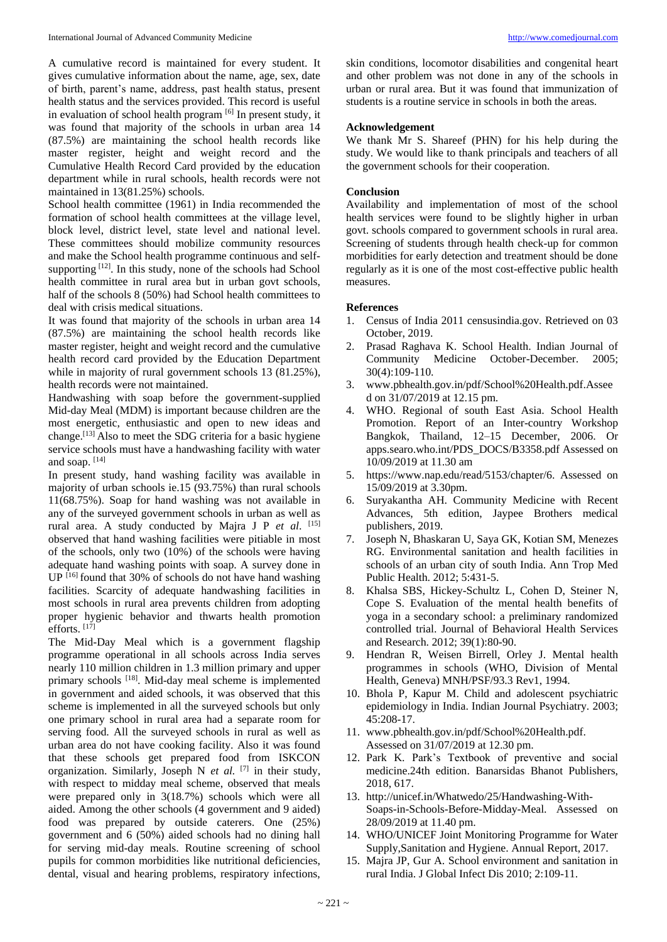A cumulative record is maintained for every student. It gives cumulative information about the name, age, sex, date of birth, parent's name, address, past health status, present health status and the services provided. This record is useful in evaluation of school health program  $[6]$  In present study, it was found that majority of the schools in urban area 14 (87.5%) are maintaining the school health records like master register, height and weight record and the Cumulative Health Record Card provided by the education department while in rural schools, health records were not maintained in 13(81.25%) schools.

School health committee (1961) in India recommended the formation of school health committees at the village level, block level, district level, state level and national level. These committees should mobilize community resources and make the School health programme continuous and selfsupporting  $[12]$ . In this study, none of the schools had School health committee in rural area but in urban govt schools, half of the schools 8 (50%) had School health committees to deal with crisis medical situations.

It was found that majority of the schools in urban area 14 (87.5%) are maintaining the school health records like master register, height and weight record and the cumulative health record card provided by the Education Department while in majority of rural government schools 13 (81.25%), health records were not maintained.

Handwashing with soap before the government-supplied Mid-day Meal (MDM) is important because children are the most energetic, enthusiastic and open to new ideas and change.[13] Also to meet the SDG criteria for a basic hygiene service schools must have a handwashing facility with water and soap. [14]

In present study, hand washing facility was available in majority of urban schools ie.15 (93.75%) than rural schools 11(68.75%). Soap for hand washing was not available in any of the surveyed government schools in urban as well as rural area. A study conducted by Majra J P *et al*. [15] observed that hand washing facilities were pitiable in most of the schools, only two (10%) of the schools were having adequate hand washing points with soap. A survey done in UP [16] found that 30% of schools do not have hand washing facilities. Scarcity of adequate handwashing facilities in most schools in rural area prevents children from adopting proper hygienic behavior and thwarts health promotion efforts.  $[17]$ 

The Mid-Day Meal which is a government flagship programme operational in all schools across India serves nearly 110 million children in 1.3 million primary and upper primary schools [18]. Mid-day meal scheme is implemented in government and aided schools, it was observed that this scheme is implemented in all the surveyed schools but only one primary school in rural area had a separate room for serving food. All the surveyed schools in rural as well as urban area do not have cooking facility. Also it was found that these schools get prepared food from ISKCON organization. Similarly, Joseph N *et al.* [7] in their study, with respect to midday meal scheme, observed that meals were prepared only in 3(18.7%) schools which were all aided. Among the other schools (4 government and 9 aided) food was prepared by outside caterers. One (25%) government and 6 (50%) aided schools had no dining hall for serving mid-day meals. Routine screening of school pupils for common morbidities like nutritional deficiencies, dental, visual and hearing problems, respiratory infections,

skin conditions, locomotor disabilities and congenital heart and other problem was not done in any of the schools in urban or rural area. But it was found that immunization of students is a routine service in schools in both the areas.

#### **Acknowledgement**

We thank Mr S. Shareef (PHN) for his help during the study. We would like to thank principals and teachers of all the government schools for their cooperation.

### **Conclusion**

Availability and implementation of most of the school health services were found to be slightly higher in urban govt. schools compared to government schools in rural area. Screening of students through health check-up for common morbidities for early detection and treatment should be done regularly as it is one of the most cost-effective public health measures.

#### **References**

- 1. Census of India 2011 censusindia.gov. Retrieved on 03 October, 2019.
- 2. Prasad Raghava K. School Health. Indian Journal of Community Medicine October-December. 2005; 30(4):109-110.
- 3. www.pbhealth.gov.in/pdf/School%20Health.pdf.Assee d on 31/07/2019 at 12.15 pm.
- 4. WHO. Regional of south East Asia. School Health Promotion. Report of an Inter-country Workshop Bangkok, Thailand, 12–15 December, 2006. Or apps.searo.who.int/PDS\_DOCS/B3358.pdf Assessed on 10/09/2019 at 11.30 am
- 5. https://www.nap.edu/read/5153/chapter/6. Assessed on 15/09/2019 at 3.30pm.
- 6. Suryakantha AH. Community Medicine with Recent Advances, 5th edition, Jaypee Brothers medical publishers, 2019.
- 7. Joseph N, Bhaskaran U, Saya GK, Kotian SM, Menezes RG. Environmental sanitation and health facilities in schools of an urban city of south India. Ann Trop Med Public Health. 2012; 5:431-5.
- 8. Khalsa SBS, Hickey-Schultz L, Cohen D, Steiner N, Cope S. Evaluation of the mental health benefits of yoga in a secondary school: a preliminary randomized controlled trial. Journal of Behavioral Health Services and Research. 2012; 39(1):80-90.
- 9. Hendran R, Weisen Birrell, Orley J. Mental health programmes in schools (WHO, Division of Mental Health, Geneva) MNH/PSF/93.3 Rev1, 1994.
- 10. Bhola P, Kapur M. Child and adolescent psychiatric epidemiology in India. Indian Journal Psychiatry. 2003; 45:208-17.
- 11. www.pbhealth.gov.in/pdf/School%20Health.pdf. Assessed on 31/07/2019 at 12.30 pm.
- 12. Park K. Park's Textbook of preventive and social medicine.24th edition. Banarsidas Bhanot Publishers, 2018, 617.
- 13. http://unicef.in/Whatwedo/25/Handwashing-With-Soaps-in-Schools-Before-Midday-Meal. Assessed on 28/09/2019 at 11.40 pm.
- 14. WHO/UNICEF Joint Monitoring Programme for Water Supply,Sanitation and Hygiene. Annual Report, 2017.
- 15. Majra JP, Gur A. School environment and sanitation in rural India. J Global Infect Dis 2010; 2:109-11.